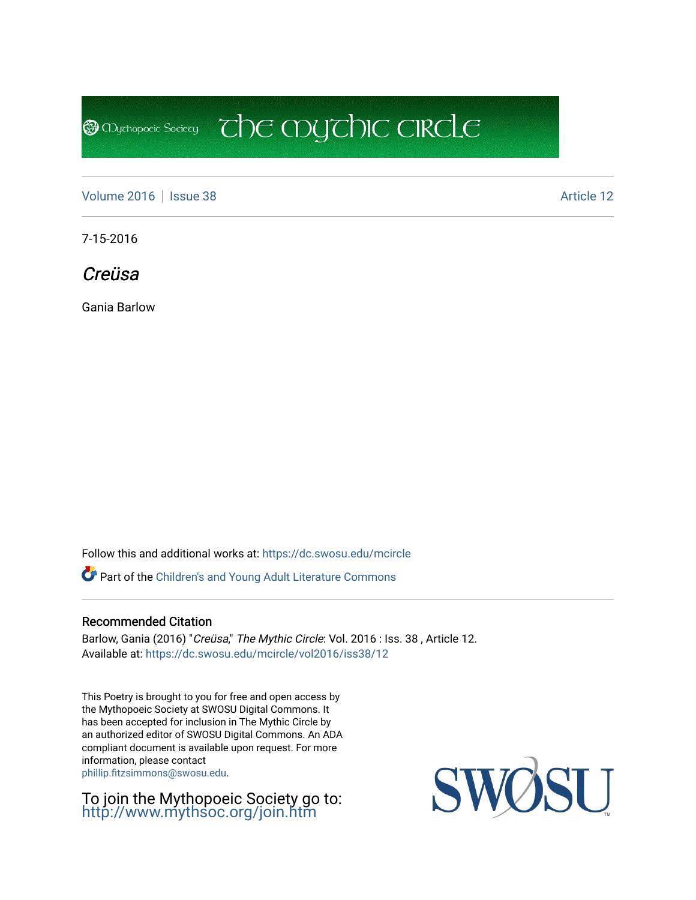**@** Mychopoeic Sociecy

[Volume 2016](https://dc.swosu.edu/mcircle/vol2016) | [Issue 38](https://dc.swosu.edu/mcircle/vol2016/iss38) Article 12

7-15-2016

Creüsa

Gania Barlow

Follow this and additional works at: [https://dc.swosu.edu/mcircle](https://dc.swosu.edu/mcircle?utm_source=dc.swosu.edu%2Fmcircle%2Fvol2016%2Fiss38%2F12&utm_medium=PDF&utm_campaign=PDFCoverPages) 

Part of the [Children's and Young Adult Literature Commons](http://network.bepress.com/hgg/discipline/1289?utm_source=dc.swosu.edu%2Fmcircle%2Fvol2016%2Fiss38%2F12&utm_medium=PDF&utm_campaign=PDFCoverPages) 

## Recommended Citation

Barlow, Gania (2016) "Creüsa," The Mythic Circle: Vol. 2016 : Iss. 38, Article 12. Available at: [https://dc.swosu.edu/mcircle/vol2016/iss38/12](https://dc.swosu.edu/mcircle/vol2016/iss38/12?utm_source=dc.swosu.edu%2Fmcircle%2Fvol2016%2Fiss38%2F12&utm_medium=PDF&utm_campaign=PDFCoverPages) 

 $\mathbb{C}$  the mychic circle

This Poetry is brought to you for free and open access by the Mythopoeic Society at SWOSU Digital Commons. It has been accepted for inclusion in The Mythic Circle by an authorized editor of SWOSU Digital Commons. An ADA compliant document is available upon request. For more information, please contact [phillip.fitzsimmons@swosu.edu](mailto:phillip.fitzsimmons@swosu.edu).

To join the Mythopoeic Society go to: <http://www.mythsoc.org/join.htm>

SWOSU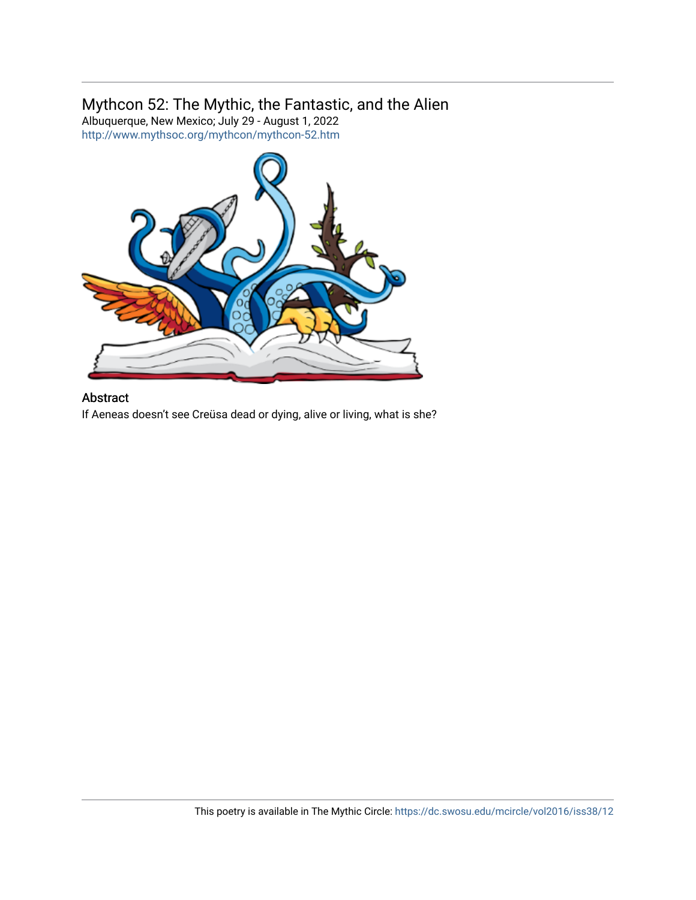# Mythcon 52: The Mythic, the Fantastic, and the Alien

Albuquerque, New Mexico; July 29 - August 1, 2022 <http://www.mythsoc.org/mythcon/mythcon-52.htm>



## Abstract

If Aeneas doesn't see Creüsa dead or dying, alive or living, what is she?